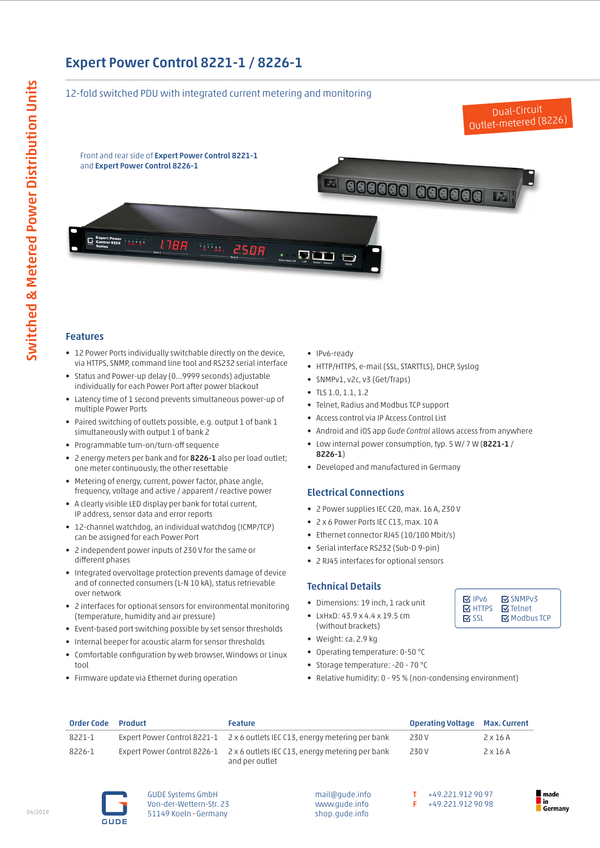# Expert Power Control 8221-1 / 8226-1

### 12-fold switched PDU with integrated current metering and monitoring

Front and rear side of Expert Power Control 8221-1 and Expert Power Control 8226-1



Dual-Circuit



## Features

- 12 Power Ports individually switchable directly on the device, via HTTPS, SNMP, command line tool and RS232 serial interface
- Status and Power-up delay (0...9999 seconds) adjustable individually for each Power Port after power blackout
- Latency time of 1 second prevents simultaneous power-up of multiple Power Ports
- Paired switching of outlets possible, e.g. output 1 of bank 1 simultaneously with output 1 of bank 2
- Programmable turn-on/turn-off sequence
- 2 energy meters per bank and for 8226-1 also per load outlet; one meter continuously, the other resettable
- Metering of energy, current, power factor, phase angle, frequency, voltage and active / apparent / reactive power
- A clearly visible LED display per bank for total current, IP address, sensor data and error reports
- 12-channel watchdog, an individual watchdog (ICMP/TCP) can be assigned for each Power Port
- 2 independent power inputs of 230 V for the same or different phases
- Integrated overvoltage protection prevents damage of device and of connected consumers (L-N 10 kA), status retrievable over network
- 2 interfaces for optional sensors for environmental monitoring (temperature, humidity and air pressure)
- Event-based port switching possible by set sensor thresholds
- Internal beeper for acoustic alarm for sensor thresholds
- Comfortable configuration by web browser, Windows or Linux tool
- Firmware update via Ethernet during operation
- IPv6-ready
- HTTP/HTTPS, e-mail (SSL, STARTTLS), DHCP, Syslog
- SNMPv1, v2c, v3 (Get/Traps)
- TLS 1.0, 1.1, 1.2
- Telnet, Radius and Modbus TCP support
- Access control via IP Access Control List
- Android and iOS app *Gude Control* allows access from anywhere
- Low internal power consumption, typ. 5 W/ 7 W (8221-1 / 8226-1)
- Developed and manufactured in Germany

### Electrical Connections

- 2 Power supplies IEC C20, max. 16 A, 230 V
- 2 x 6 Power Ports IEC C13, max. 10 A
- Ethernet connector RJ45 (10/100 Mbit/s)
- Serial interface RS232 (Sub-D 9-pin)
- 2 RJ45 interfaces for optional sensors

### Technical Details

- Dimensions: 19 inch, 1 rack unit
- LxHxD: 43.9 x 4.4 x 19.5 cm
- (without brackets) • Weight: ca. 2.9 kg
- 
- Operating temperature: 0-50 °C
- Storage temperature: -20 70 °C
- Relative humidity: 0 95 % (non-condensing environment)

| <b>Order Code</b> | Product | <b>Feature</b>                                                                                | <b>Operating Voltage Max. Current</b> |                 |
|-------------------|---------|-----------------------------------------------------------------------------------------------|---------------------------------------|-----------------|
| 8221-1            |         | Expert Power Control 8221-1 2 x 6 outlets IEC C13, energy metering per bank                   | 230 V                                 | $2 \times 16$ A |
| 8226-1            |         | Expert Power Control 8226-1 2 x 6 outlets IEC C13, energy metering per bank<br>and per outlet | 230 V                                 | $2 \times 16$ A |



GUDE Systems GmbH Von-der-Wettern-Str. 23 51149 Koeln • Germany

mail@gude.info www.gude.info shop.gude.info

T +49.221.912 90 97 F +49.221.912 90 98

**M** IPv6 **M** HTTPS **M** SSL

SNMPv3 **M**Telnet **Modbus TCP**